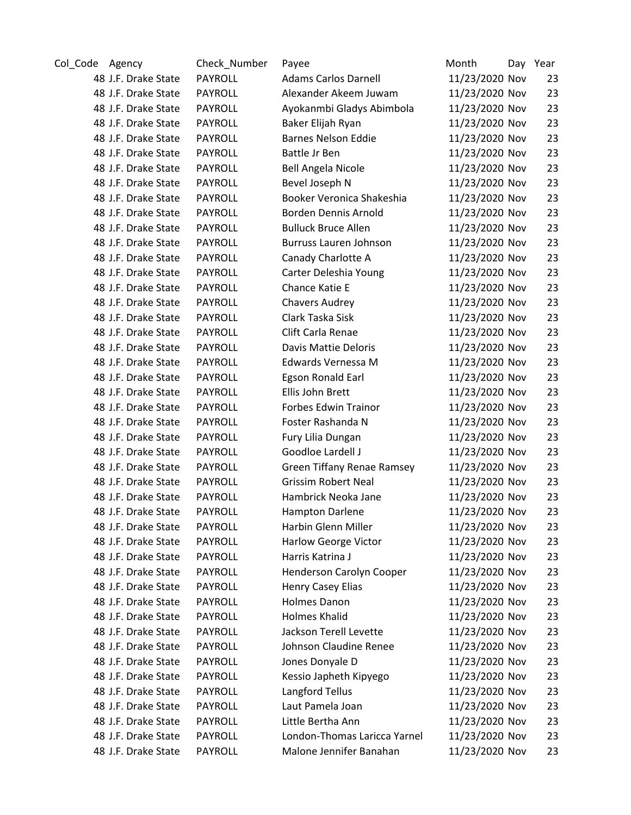| Col_Code Agency |                     | Check_Number   | Payee                        | Month          | Day Year |
|-----------------|---------------------|----------------|------------------------------|----------------|----------|
|                 | 48 J.F. Drake State | <b>PAYROLL</b> | <b>Adams Carlos Darnell</b>  | 11/23/2020 Nov | 23       |
|                 | 48 J.F. Drake State | <b>PAYROLL</b> | Alexander Akeem Juwam        | 11/23/2020 Nov | 23       |
|                 | 48 J.F. Drake State | <b>PAYROLL</b> | Ayokanmbi Gladys Abimbola    | 11/23/2020 Nov | 23       |
|                 | 48 J.F. Drake State | <b>PAYROLL</b> | Baker Elijah Ryan            | 11/23/2020 Nov | 23       |
|                 | 48 J.F. Drake State | <b>PAYROLL</b> | <b>Barnes Nelson Eddie</b>   | 11/23/2020 Nov | 23       |
|                 | 48 J.F. Drake State | PAYROLL        | Battle Jr Ben                | 11/23/2020 Nov | 23       |
|                 | 48 J.F. Drake State | <b>PAYROLL</b> | <b>Bell Angela Nicole</b>    | 11/23/2020 Nov | 23       |
|                 | 48 J.F. Drake State | PAYROLL        | Bevel Joseph N               | 11/23/2020 Nov | 23       |
|                 | 48 J.F. Drake State | PAYROLL        | Booker Veronica Shakeshia    | 11/23/2020 Nov | 23       |
|                 | 48 J.F. Drake State | PAYROLL        | Borden Dennis Arnold         | 11/23/2020 Nov | 23       |
|                 | 48 J.F. Drake State | <b>PAYROLL</b> | <b>Bulluck Bruce Allen</b>   | 11/23/2020 Nov | 23       |
|                 | 48 J.F. Drake State | PAYROLL        | Burruss Lauren Johnson       | 11/23/2020 Nov | 23       |
|                 | 48 J.F. Drake State | <b>PAYROLL</b> | Canady Charlotte A           | 11/23/2020 Nov | 23       |
|                 | 48 J.F. Drake State | PAYROLL        | Carter Deleshia Young        | 11/23/2020 Nov | 23       |
|                 | 48 J.F. Drake State | <b>PAYROLL</b> | Chance Katie E               | 11/23/2020 Nov | 23       |
|                 | 48 J.F. Drake State | <b>PAYROLL</b> | <b>Chavers Audrey</b>        | 11/23/2020 Nov | 23       |
|                 | 48 J.F. Drake State | <b>PAYROLL</b> | Clark Taska Sisk             | 11/23/2020 Nov | 23       |
|                 | 48 J.F. Drake State | <b>PAYROLL</b> | Clift Carla Renae            | 11/23/2020 Nov | 23       |
|                 | 48 J.F. Drake State | PAYROLL        | Davis Mattie Deloris         | 11/23/2020 Nov | 23       |
|                 | 48 J.F. Drake State | <b>PAYROLL</b> | Edwards Vernessa M           | 11/23/2020 Nov | 23       |
|                 | 48 J.F. Drake State | <b>PAYROLL</b> | Egson Ronald Earl            | 11/23/2020 Nov | 23       |
|                 | 48 J.F. Drake State | PAYROLL        | Ellis John Brett             | 11/23/2020 Nov | 23       |
|                 | 48 J.F. Drake State | <b>PAYROLL</b> | <b>Forbes Edwin Trainor</b>  | 11/23/2020 Nov | 23       |
|                 | 48 J.F. Drake State | PAYROLL        | Foster Rashanda N            | 11/23/2020 Nov | 23       |
|                 | 48 J.F. Drake State | PAYROLL        | Fury Lilia Dungan            | 11/23/2020 Nov | 23       |
|                 | 48 J.F. Drake State | PAYROLL        | Goodloe Lardell J            | 11/23/2020 Nov | 23       |
|                 | 48 J.F. Drake State | PAYROLL        | Green Tiffany Renae Ramsey   | 11/23/2020 Nov | 23       |
|                 | 48 J.F. Drake State | PAYROLL        | <b>Grissim Robert Neal</b>   | 11/23/2020 Nov | 23       |
|                 | 48 J.F. Drake State | <b>PAYROLL</b> | Hambrick Neoka Jane          | 11/23/2020 Nov | 23       |
|                 | 48 J.F. Drake State | PAYROLL        | <b>Hampton Darlene</b>       | 11/23/2020 Nov | 23       |
|                 | 48 J.F. Drake State | PAYROLL        | Harbin Glenn Miller          | 11/23/2020 Nov | 23       |
|                 | 48 J.F. Drake State | PAYROLL        | <b>Harlow George Victor</b>  | 11/23/2020 Nov | 23       |
|                 | 48 J.F. Drake State | <b>PAYROLL</b> | Harris Katrina J             | 11/23/2020 Nov | 23       |
|                 | 48 J.F. Drake State | <b>PAYROLL</b> | Henderson Carolyn Cooper     | 11/23/2020 Nov | 23       |
|                 | 48 J.F. Drake State | PAYROLL        | Henry Casey Elias            | 11/23/2020 Nov | 23       |
|                 | 48 J.F. Drake State | <b>PAYROLL</b> | Holmes Danon                 | 11/23/2020 Nov | 23       |
|                 | 48 J.F. Drake State | <b>PAYROLL</b> | <b>Holmes Khalid</b>         | 11/23/2020 Nov | 23       |
|                 | 48 J.F. Drake State | PAYROLL        | Jackson Terell Levette       | 11/23/2020 Nov | 23       |
|                 | 48 J.F. Drake State | <b>PAYROLL</b> | Johnson Claudine Renee       | 11/23/2020 Nov | 23       |
|                 | 48 J.F. Drake State | PAYROLL        | Jones Donyale D              | 11/23/2020 Nov | 23       |
|                 | 48 J.F. Drake State | PAYROLL        | Kessio Japheth Kipyego       | 11/23/2020 Nov | 23       |
|                 | 48 J.F. Drake State | PAYROLL        | Langford Tellus              | 11/23/2020 Nov | 23       |
|                 | 48 J.F. Drake State | <b>PAYROLL</b> | Laut Pamela Joan             | 11/23/2020 Nov | 23       |
|                 | 48 J.F. Drake State | PAYROLL        | Little Bertha Ann            | 11/23/2020 Nov | 23       |
|                 | 48 J.F. Drake State | PAYROLL        | London-Thomas Laricca Yarnel | 11/23/2020 Nov | 23       |
|                 | 48 J.F. Drake State | PAYROLL        | Malone Jennifer Banahan      | 11/23/2020 Nov | 23       |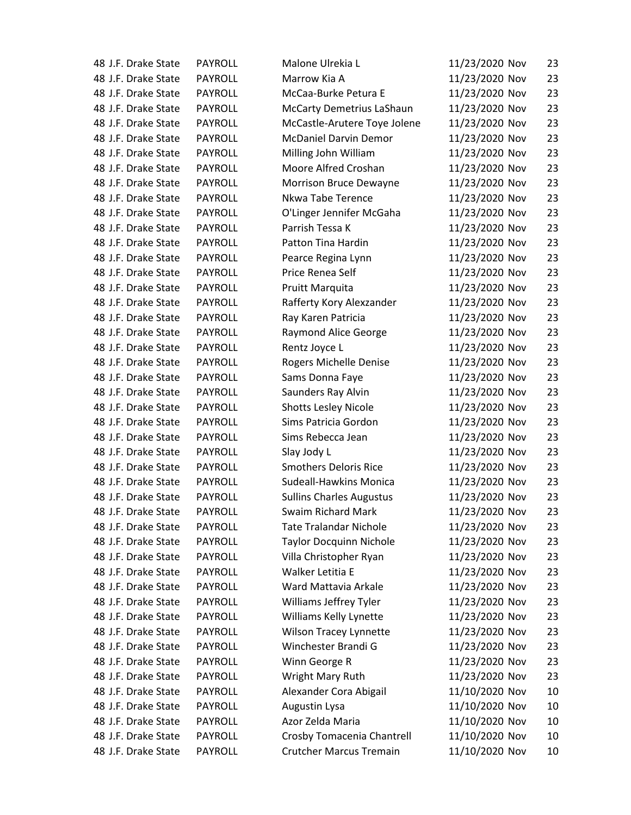| 48 J.F. Drake State | PAYROLL        | Malone Ulrekia L                 | 11/23/2020 Nov | 23 |
|---------------------|----------------|----------------------------------|----------------|----|
| 48 J.F. Drake State | <b>PAYROLL</b> | Marrow Kia A                     | 11/23/2020 Nov | 23 |
| 48 J.F. Drake State | PAYROLL        | McCaa-Burke Petura E             | 11/23/2020 Nov | 23 |
| 48 J.F. Drake State | <b>PAYROLL</b> | <b>McCarty Demetrius LaShaun</b> | 11/23/2020 Nov | 23 |
| 48 J.F. Drake State | <b>PAYROLL</b> | McCastle-Arutere Toye Jolene     | 11/23/2020 Nov | 23 |
| 48 J.F. Drake State | <b>PAYROLL</b> | <b>McDaniel Darvin Demor</b>     | 11/23/2020 Nov | 23 |
| 48 J.F. Drake State | <b>PAYROLL</b> | Milling John William             | 11/23/2020 Nov | 23 |
| 48 J.F. Drake State | <b>PAYROLL</b> | Moore Alfred Croshan             | 11/23/2020 Nov | 23 |
| 48 J.F. Drake State | <b>PAYROLL</b> | Morrison Bruce Dewayne           | 11/23/2020 Nov | 23 |
| 48 J.F. Drake State | PAYROLL        | Nkwa Tabe Terence                | 11/23/2020 Nov | 23 |
| 48 J.F. Drake State | <b>PAYROLL</b> | O'Linger Jennifer McGaha         | 11/23/2020 Nov | 23 |
| 48 J.F. Drake State | <b>PAYROLL</b> | Parrish Tessa K                  | 11/23/2020 Nov | 23 |
| 48 J.F. Drake State | <b>PAYROLL</b> | Patton Tina Hardin               | 11/23/2020 Nov | 23 |
| 48 J.F. Drake State | <b>PAYROLL</b> | Pearce Regina Lynn               | 11/23/2020 Nov | 23 |
| 48 J.F. Drake State | PAYROLL        | Price Renea Self                 | 11/23/2020 Nov | 23 |
| 48 J.F. Drake State | <b>PAYROLL</b> | Pruitt Marquita                  | 11/23/2020 Nov | 23 |
| 48 J.F. Drake State | <b>PAYROLL</b> | Rafferty Kory Alexzander         | 11/23/2020 Nov | 23 |
| 48 J.F. Drake State | <b>PAYROLL</b> | Ray Karen Patricia               | 11/23/2020 Nov | 23 |
| 48 J.F. Drake State | <b>PAYROLL</b> | Raymond Alice George             | 11/23/2020 Nov | 23 |
| 48 J.F. Drake State | PAYROLL        | Rentz Joyce L                    | 11/23/2020 Nov | 23 |
| 48 J.F. Drake State | <b>PAYROLL</b> | Rogers Michelle Denise           | 11/23/2020 Nov | 23 |
| 48 J.F. Drake State | <b>PAYROLL</b> | Sams Donna Faye                  | 11/23/2020 Nov | 23 |
| 48 J.F. Drake State | <b>PAYROLL</b> | Saunders Ray Alvin               | 11/23/2020 Nov | 23 |
| 48 J.F. Drake State | <b>PAYROLL</b> | <b>Shotts Lesley Nicole</b>      | 11/23/2020 Nov | 23 |
| 48 J.F. Drake State | <b>PAYROLL</b> | Sims Patricia Gordon             | 11/23/2020 Nov | 23 |
| 48 J.F. Drake State | <b>PAYROLL</b> | Sims Rebecca Jean                | 11/23/2020 Nov | 23 |
| 48 J.F. Drake State | PAYROLL        | Slay Jody L                      | 11/23/2020 Nov | 23 |
| 48 J.F. Drake State | <b>PAYROLL</b> | <b>Smothers Deloris Rice</b>     | 11/23/2020 Nov | 23 |
| 48 J.F. Drake State | PAYROLL        | <b>Sudeall-Hawkins Monica</b>    | 11/23/2020 Nov | 23 |
| 48 J.F. Drake State | <b>PAYROLL</b> | <b>Sullins Charles Augustus</b>  | 11/23/2020 Nov | 23 |
| 48 J.F. Drake State | PAYROLL        | Swaim Richard Mark               | 11/23/2020 Nov | 23 |
| 48 J.F. Drake State | PAYROLL        | <b>Tate Tralandar Nichole</b>    | 11/23/2020 Nov | 23 |
| 48 J.F. Drake State | PAYROLL        | <b>Taylor Docquinn Nichole</b>   | 11/23/2020 Nov | 23 |
| 48 J.F. Drake State | <b>PAYROLL</b> | Villa Christopher Ryan           | 11/23/2020 Nov | 23 |
| 48 J.F. Drake State | PAYROLL        | Walker Letitia E                 | 11/23/2020 Nov | 23 |
| 48 J.F. Drake State | <b>PAYROLL</b> | Ward Mattavia Arkale             | 11/23/2020 Nov | 23 |
| 48 J.F. Drake State | <b>PAYROLL</b> | Williams Jeffrey Tyler           | 11/23/2020 Nov | 23 |
| 48 J.F. Drake State | PAYROLL        | Williams Kelly Lynette           | 11/23/2020 Nov | 23 |
| 48 J.F. Drake State | <b>PAYROLL</b> | Wilson Tracey Lynnette           | 11/23/2020 Nov | 23 |
| 48 J.F. Drake State | PAYROLL        | Winchester Brandi G              | 11/23/2020 Nov | 23 |
| 48 J.F. Drake State | PAYROLL        | Winn George R                    | 11/23/2020 Nov | 23 |
| 48 J.F. Drake State | PAYROLL        | Wright Mary Ruth                 | 11/23/2020 Nov | 23 |
| 48 J.F. Drake State | <b>PAYROLL</b> | Alexander Cora Abigail           | 11/10/2020 Nov | 10 |
| 48 J.F. Drake State | <b>PAYROLL</b> | Augustin Lysa                    | 11/10/2020 Nov | 10 |
| 48 J.F. Drake State | PAYROLL        | Azor Zelda Maria                 | 11/10/2020 Nov | 10 |
| 48 J.F. Drake State | <b>PAYROLL</b> | Crosby Tomacenia Chantrell       | 11/10/2020 Nov | 10 |
| 48 J.F. Drake State | PAYROLL        | <b>Crutcher Marcus Tremain</b>   | 11/10/2020 Nov | 10 |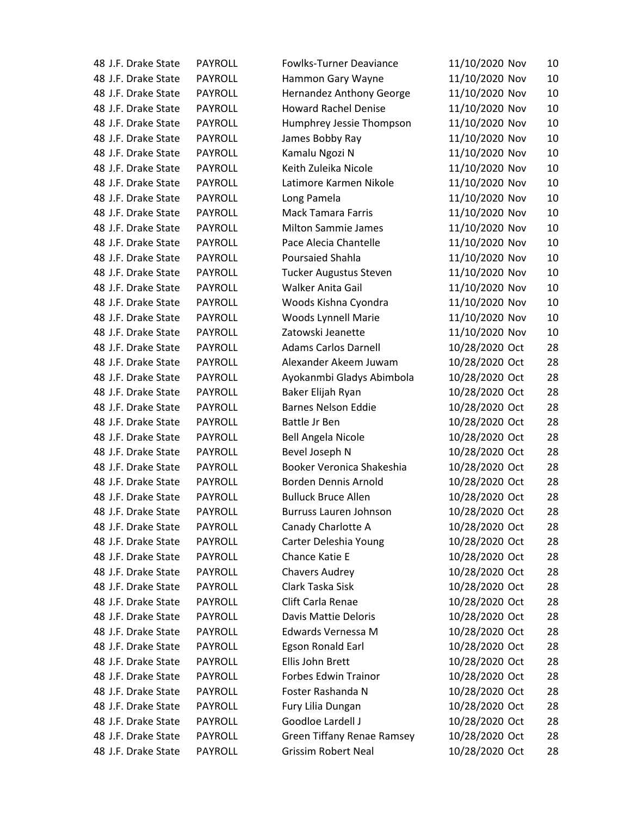| 48 J.F. Drake State | PAYROLL        | <b>Fowlks-Turner Deaviance</b> | 11/10/2020 Nov | 10 |
|---------------------|----------------|--------------------------------|----------------|----|
| 48 J.F. Drake State | <b>PAYROLL</b> | Hammon Gary Wayne              | 11/10/2020 Nov | 10 |
| 48 J.F. Drake State | <b>PAYROLL</b> | Hernandez Anthony George       | 11/10/2020 Nov | 10 |
| 48 J.F. Drake State | <b>PAYROLL</b> | <b>Howard Rachel Denise</b>    | 11/10/2020 Nov | 10 |
| 48 J.F. Drake State | <b>PAYROLL</b> | Humphrey Jessie Thompson       | 11/10/2020 Nov | 10 |
| 48 J.F. Drake State | PAYROLL        | James Bobby Ray                | 11/10/2020 Nov | 10 |
| 48 J.F. Drake State | PAYROLL        | Kamalu Ngozi N                 | 11/10/2020 Nov | 10 |
| 48 J.F. Drake State | <b>PAYROLL</b> | Keith Zuleika Nicole           | 11/10/2020 Nov | 10 |
| 48 J.F. Drake State | <b>PAYROLL</b> | Latimore Karmen Nikole         | 11/10/2020 Nov | 10 |
| 48 J.F. Drake State | <b>PAYROLL</b> | Long Pamela                    | 11/10/2020 Nov | 10 |
| 48 J.F. Drake State | <b>PAYROLL</b> | <b>Mack Tamara Farris</b>      | 11/10/2020 Nov | 10 |
| 48 J.F. Drake State | <b>PAYROLL</b> | <b>Milton Sammie James</b>     | 11/10/2020 Nov | 10 |
| 48 J.F. Drake State | <b>PAYROLL</b> | Pace Alecia Chantelle          | 11/10/2020 Nov | 10 |
| 48 J.F. Drake State | <b>PAYROLL</b> | <b>Poursaied Shahla</b>        | 11/10/2020 Nov | 10 |
| 48 J.F. Drake State | <b>PAYROLL</b> | <b>Tucker Augustus Steven</b>  | 11/10/2020 Nov | 10 |
| 48 J.F. Drake State | <b>PAYROLL</b> | <b>Walker Anita Gail</b>       | 11/10/2020 Nov | 10 |
| 48 J.F. Drake State | <b>PAYROLL</b> | Woods Kishna Cyondra           | 11/10/2020 Nov | 10 |
| 48 J.F. Drake State | <b>PAYROLL</b> | Woods Lynnell Marie            | 11/10/2020 Nov | 10 |
| 48 J.F. Drake State | <b>PAYROLL</b> | Zatowski Jeanette              | 11/10/2020 Nov | 10 |
| 48 J.F. Drake State | PAYROLL        | <b>Adams Carlos Darnell</b>    | 10/28/2020 Oct | 28 |
| 48 J.F. Drake State | <b>PAYROLL</b> | Alexander Akeem Juwam          | 10/28/2020 Oct | 28 |
| 48 J.F. Drake State | <b>PAYROLL</b> | Ayokanmbi Gladys Abimbola      | 10/28/2020 Oct | 28 |
| 48 J.F. Drake State | <b>PAYROLL</b> | Baker Elijah Ryan              | 10/28/2020 Oct | 28 |
| 48 J.F. Drake State | <b>PAYROLL</b> | <b>Barnes Nelson Eddie</b>     | 10/28/2020 Oct | 28 |
| 48 J.F. Drake State | PAYROLL        | Battle Jr Ben                  | 10/28/2020 Oct | 28 |
| 48 J.F. Drake State | <b>PAYROLL</b> | <b>Bell Angela Nicole</b>      | 10/28/2020 Oct | 28 |
| 48 J.F. Drake State | <b>PAYROLL</b> | Bevel Joseph N                 | 10/28/2020 Oct | 28 |
| 48 J.F. Drake State | <b>PAYROLL</b> | Booker Veronica Shakeshia      | 10/28/2020 Oct | 28 |
| 48 J.F. Drake State | <b>PAYROLL</b> | Borden Dennis Arnold           | 10/28/2020 Oct | 28 |
| 48 J.F. Drake State | <b>PAYROLL</b> | <b>Bulluck Bruce Allen</b>     | 10/28/2020 Oct | 28 |
| 48 J.F. Drake State | PAYROLL        | Burruss Lauren Johnson         | 10/28/2020 Oct | 28 |
| 48 J.F. Drake State | PAYROLL        | Canady Charlotte A             | 10/28/2020 Oct | 28 |
| 48 J.F. Drake State | PAYROLL        | Carter Deleshia Young          | 10/28/2020 Oct | 28 |
| 48 J.F. Drake State | <b>PAYROLL</b> | Chance Katie E                 | 10/28/2020 Oct | 28 |
| 48 J.F. Drake State | PAYROLL        | <b>Chavers Audrey</b>          | 10/28/2020 Oct | 28 |
| 48 J.F. Drake State | <b>PAYROLL</b> | Clark Taska Sisk               | 10/28/2020 Oct | 28 |
| 48 J.F. Drake State | PAYROLL        | Clift Carla Renae              | 10/28/2020 Oct | 28 |
| 48 J.F. Drake State | PAYROLL        | <b>Davis Mattie Deloris</b>    | 10/28/2020 Oct | 28 |
| 48 J.F. Drake State | PAYROLL        | Edwards Vernessa M             | 10/28/2020 Oct | 28 |
| 48 J.F. Drake State | PAYROLL        | Egson Ronald Earl              | 10/28/2020 Oct | 28 |
| 48 J.F. Drake State | <b>PAYROLL</b> | Ellis John Brett               | 10/28/2020 Oct | 28 |
| 48 J.F. Drake State | PAYROLL        | <b>Forbes Edwin Trainor</b>    | 10/28/2020 Oct | 28 |
| 48 J.F. Drake State | <b>PAYROLL</b> | Foster Rashanda N              | 10/28/2020 Oct | 28 |
| 48 J.F. Drake State | PAYROLL        | Fury Lilia Dungan              | 10/28/2020 Oct | 28 |
| 48 J.F. Drake State | PAYROLL        | Goodloe Lardell J              | 10/28/2020 Oct | 28 |
| 48 J.F. Drake State | PAYROLL        | Green Tiffany Renae Ramsey     | 10/28/2020 Oct | 28 |
| 48 J.F. Drake State | PAYROLL        | <b>Grissim Robert Neal</b>     | 10/28/2020 Oct | 28 |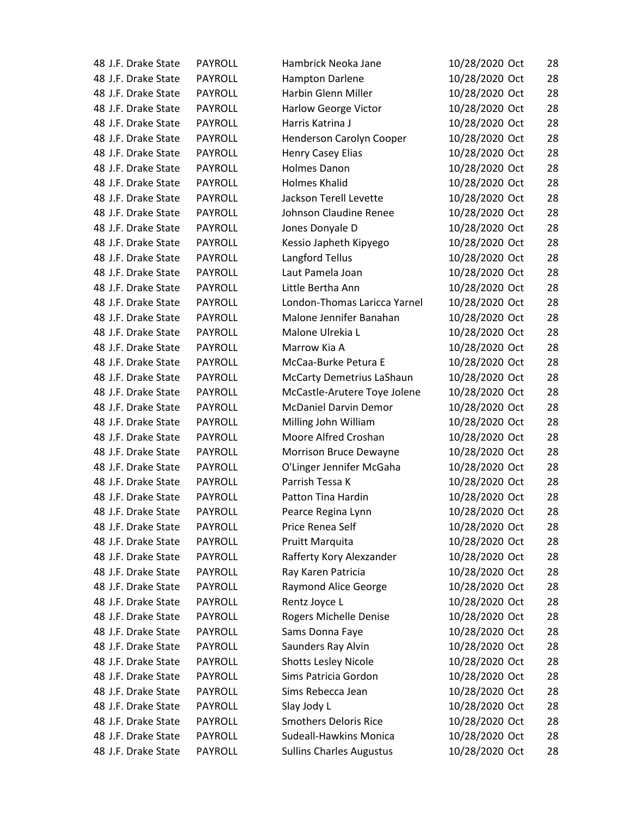| 48 J.F. Drake State | <b>PAYROLL</b> | Hambrick Neoka Jane             | 10/28/2020 Oct | 28 |
|---------------------|----------------|---------------------------------|----------------|----|
| 48 J.F. Drake State | <b>PAYROLL</b> | Hampton Darlene                 | 10/28/2020 Oct | 28 |
| 48 J.F. Drake State | <b>PAYROLL</b> | Harbin Glenn Miller             | 10/28/2020 Oct | 28 |
| 48 J.F. Drake State | <b>PAYROLL</b> | <b>Harlow George Victor</b>     | 10/28/2020 Oct | 28 |
| 48 J.F. Drake State | <b>PAYROLL</b> | Harris Katrina J                | 10/28/2020 Oct | 28 |
| 48 J.F. Drake State | PAYROLL        | Henderson Carolyn Cooper        | 10/28/2020 Oct | 28 |
| 48 J.F. Drake State | <b>PAYROLL</b> | <b>Henry Casey Elias</b>        | 10/28/2020 Oct | 28 |
| 48 J.F. Drake State | <b>PAYROLL</b> | <b>Holmes Danon</b>             | 10/28/2020 Oct | 28 |
| 48 J.F. Drake State | <b>PAYROLL</b> | <b>Holmes Khalid</b>            | 10/28/2020 Oct | 28 |
| 48 J.F. Drake State | <b>PAYROLL</b> | Jackson Terell Levette          | 10/28/2020 Oct | 28 |
| 48 J.F. Drake State | <b>PAYROLL</b> | Johnson Claudine Renee          | 10/28/2020 Oct | 28 |
| 48 J.F. Drake State | <b>PAYROLL</b> | Jones Donyale D                 | 10/28/2020 Oct | 28 |
| 48 J.F. Drake State | <b>PAYROLL</b> | Kessio Japheth Kipyego          | 10/28/2020 Oct | 28 |
| 48 J.F. Drake State | <b>PAYROLL</b> | Langford Tellus                 | 10/28/2020 Oct | 28 |
| 48 J.F. Drake State | <b>PAYROLL</b> | Laut Pamela Joan                | 10/28/2020 Oct | 28 |
| 48 J.F. Drake State | <b>PAYROLL</b> | Little Bertha Ann               | 10/28/2020 Oct | 28 |
| 48 J.F. Drake State | <b>PAYROLL</b> | London-Thomas Laricca Yarnel    | 10/28/2020 Oct | 28 |
| 48 J.F. Drake State | <b>PAYROLL</b> | Malone Jennifer Banahan         | 10/28/2020 Oct | 28 |
| 48 J.F. Drake State | <b>PAYROLL</b> | Malone Ulrekia L                | 10/28/2020 Oct | 28 |
| 48 J.F. Drake State | <b>PAYROLL</b> | Marrow Kia A                    | 10/28/2020 Oct | 28 |
| 48 J.F. Drake State | <b>PAYROLL</b> | McCaa-Burke Petura E            | 10/28/2020 Oct | 28 |
| 48 J.F. Drake State | <b>PAYROLL</b> | McCarty Demetrius LaShaun       | 10/28/2020 Oct | 28 |
| 48 J.F. Drake State | <b>PAYROLL</b> | McCastle-Arutere Toye Jolene    | 10/28/2020 Oct | 28 |
| 48 J.F. Drake State | <b>PAYROLL</b> | <b>McDaniel Darvin Demor</b>    | 10/28/2020 Oct | 28 |
| 48 J.F. Drake State | PAYROLL        | Milling John William            | 10/28/2020 Oct | 28 |
| 48 J.F. Drake State | <b>PAYROLL</b> | Moore Alfred Croshan            | 10/28/2020 Oct | 28 |
| 48 J.F. Drake State | <b>PAYROLL</b> | Morrison Bruce Dewayne          | 10/28/2020 Oct | 28 |
| 48 J.F. Drake State | <b>PAYROLL</b> | O'Linger Jennifer McGaha        | 10/28/2020 Oct | 28 |
| 48 J.F. Drake State | <b>PAYROLL</b> | Parrish Tessa K                 | 10/28/2020 Oct | 28 |
| 48 J.F. Drake State | <b>PAYROLL</b> | Patton Tina Hardin              | 10/28/2020 Oct | 28 |
| 48 J.F. Drake State | PAYROLL        | Pearce Regina Lynn              | 10/28/2020 Oct | 28 |
| 48 J.F. Drake State | PAYROLL        | Price Renea Self                | 10/28/2020 Oct | 28 |
| 48 J.F. Drake State | PAYROLL        | <b>Pruitt Marquita</b>          | 10/28/2020 Oct | 28 |
| 48 J.F. Drake State | <b>PAYROLL</b> | Rafferty Kory Alexzander        | 10/28/2020 Oct | 28 |
| 48 J.F. Drake State | PAYROLL        | Ray Karen Patricia              | 10/28/2020 Oct | 28 |
| 48 J.F. Drake State | <b>PAYROLL</b> | <b>Raymond Alice George</b>     | 10/28/2020 Oct | 28 |
| 48 J.F. Drake State | <b>PAYROLL</b> | Rentz Joyce L                   | 10/28/2020 Oct | 28 |
| 48 J.F. Drake State | PAYROLL        | Rogers Michelle Denise          | 10/28/2020 Oct | 28 |
| 48 J.F. Drake State | PAYROLL        | Sams Donna Faye                 | 10/28/2020 Oct | 28 |
| 48 J.F. Drake State | PAYROLL        | Saunders Ray Alvin              | 10/28/2020 Oct | 28 |
| 48 J.F. Drake State | <b>PAYROLL</b> | <b>Shotts Lesley Nicole</b>     | 10/28/2020 Oct | 28 |
| 48 J.F. Drake State | PAYROLL        | Sims Patricia Gordon            | 10/28/2020 Oct | 28 |
| 48 J.F. Drake State | <b>PAYROLL</b> | Sims Rebecca Jean               | 10/28/2020 Oct | 28 |
| 48 J.F. Drake State | PAYROLL        | Slay Jody L                     | 10/28/2020 Oct | 28 |
| 48 J.F. Drake State | PAYROLL        | <b>Smothers Deloris Rice</b>    | 10/28/2020 Oct | 28 |
| 48 J.F. Drake State | PAYROLL        | <b>Sudeall-Hawkins Monica</b>   | 10/28/2020 Oct | 28 |
| 48 J.F. Drake State | PAYROLL        | <b>Sullins Charles Augustus</b> | 10/28/2020 Oct | 28 |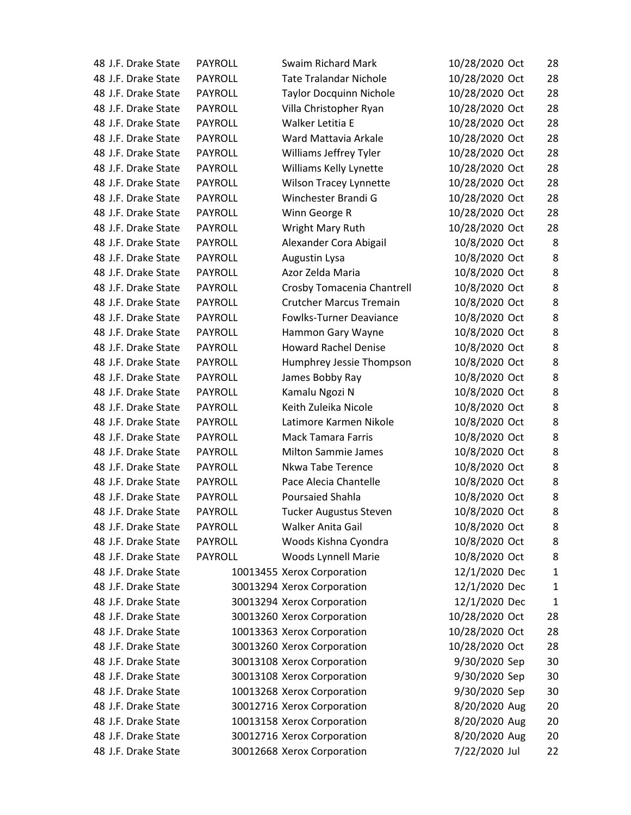| 48 J.F. Drake State | PAYROLL        | Swaim Richard Mark             | 10/28/2020 Oct | 28           |
|---------------------|----------------|--------------------------------|----------------|--------------|
| 48 J.F. Drake State | <b>PAYROLL</b> | <b>Tate Tralandar Nichole</b>  | 10/28/2020 Oct | 28           |
| 48 J.F. Drake State | <b>PAYROLL</b> | <b>Taylor Docquinn Nichole</b> | 10/28/2020 Oct | 28           |
| 48 J.F. Drake State | <b>PAYROLL</b> | Villa Christopher Ryan         | 10/28/2020 Oct | 28           |
| 48 J.F. Drake State | <b>PAYROLL</b> | Walker Letitia E               | 10/28/2020 Oct | 28           |
| 48 J.F. Drake State | <b>PAYROLL</b> | Ward Mattavia Arkale           | 10/28/2020 Oct | 28           |
| 48 J.F. Drake State | <b>PAYROLL</b> | Williams Jeffrey Tyler         | 10/28/2020 Oct | 28           |
| 48 J.F. Drake State | <b>PAYROLL</b> | Williams Kelly Lynette         | 10/28/2020 Oct | 28           |
| 48 J.F. Drake State | <b>PAYROLL</b> | <b>Wilson Tracey Lynnette</b>  | 10/28/2020 Oct | 28           |
| 48 J.F. Drake State | <b>PAYROLL</b> | Winchester Brandi G            | 10/28/2020 Oct | 28           |
| 48 J.F. Drake State | <b>PAYROLL</b> | Winn George R                  | 10/28/2020 Oct | 28           |
| 48 J.F. Drake State | <b>PAYROLL</b> | Wright Mary Ruth               | 10/28/2020 Oct | 28           |
| 48 J.F. Drake State | <b>PAYROLL</b> | Alexander Cora Abigail         | 10/8/2020 Oct  | 8            |
| 48 J.F. Drake State | <b>PAYROLL</b> | Augustin Lysa                  | 10/8/2020 Oct  | 8            |
| 48 J.F. Drake State | PAYROLL        | Azor Zelda Maria               | 10/8/2020 Oct  | 8            |
| 48 J.F. Drake State | <b>PAYROLL</b> | Crosby Tomacenia Chantrell     | 10/8/2020 Oct  | 8            |
| 48 J.F. Drake State | <b>PAYROLL</b> | <b>Crutcher Marcus Tremain</b> | 10/8/2020 Oct  | 8            |
| 48 J.F. Drake State | <b>PAYROLL</b> | <b>Fowlks-Turner Deaviance</b> | 10/8/2020 Oct  | 8            |
| 48 J.F. Drake State | <b>PAYROLL</b> | Hammon Gary Wayne              | 10/8/2020 Oct  | 8            |
| 48 J.F. Drake State | <b>PAYROLL</b> | <b>Howard Rachel Denise</b>    | 10/8/2020 Oct  | 8            |
| 48 J.F. Drake State | <b>PAYROLL</b> | Humphrey Jessie Thompson       | 10/8/2020 Oct  | 8            |
| 48 J.F. Drake State | <b>PAYROLL</b> | James Bobby Ray                | 10/8/2020 Oct  | 8            |
| 48 J.F. Drake State | <b>PAYROLL</b> | Kamalu Ngozi N                 | 10/8/2020 Oct  | 8            |
| 48 J.F. Drake State | <b>PAYROLL</b> | Keith Zuleika Nicole           | 10/8/2020 Oct  | 8            |
| 48 J.F. Drake State | <b>PAYROLL</b> | Latimore Karmen Nikole         | 10/8/2020 Oct  | 8            |
| 48 J.F. Drake State | <b>PAYROLL</b> | <b>Mack Tamara Farris</b>      | 10/8/2020 Oct  | 8            |
| 48 J.F. Drake State | <b>PAYROLL</b> | <b>Milton Sammie James</b>     | 10/8/2020 Oct  | 8            |
| 48 J.F. Drake State | <b>PAYROLL</b> | Nkwa Tabe Terence              | 10/8/2020 Oct  | 8            |
| 48 J.F. Drake State | <b>PAYROLL</b> | Pace Alecia Chantelle          | 10/8/2020 Oct  | 8            |
| 48 J.F. Drake State | <b>PAYROLL</b> | <b>Poursaied Shahla</b>        | 10/8/2020 Oct  | 8            |
| 48 J.F. Drake State | PAYROLL        | Tucker Augustus Steven         | 10/8/2020 Oct  | 8            |
| 48 J.F. Drake State | <b>PAYROLL</b> | Walker Anita Gail              | 10/8/2020 Oct  | 8            |
| 48 J.F. Drake State | PAYROLL        | Woods Kishna Cyondra           | 10/8/2020 Oct  | 8            |
| 48 J.F. Drake State | <b>PAYROLL</b> | Woods Lynnell Marie            | 10/8/2020 Oct  | 8            |
| 48 J.F. Drake State |                | 10013455 Xerox Corporation     | 12/1/2020 Dec  | $\mathbf{1}$ |
| 48 J.F. Drake State |                | 30013294 Xerox Corporation     | 12/1/2020 Dec  | $\mathbf 1$  |
| 48 J.F. Drake State |                | 30013294 Xerox Corporation     | 12/1/2020 Dec  | $\mathbf 1$  |
| 48 J.F. Drake State |                | 30013260 Xerox Corporation     | 10/28/2020 Oct | 28           |
| 48 J.F. Drake State |                | 10013363 Xerox Corporation     | 10/28/2020 Oct | 28           |
| 48 J.F. Drake State |                | 30013260 Xerox Corporation     | 10/28/2020 Oct | 28           |
| 48 J.F. Drake State |                | 30013108 Xerox Corporation     | 9/30/2020 Sep  | 30           |
| 48 J.F. Drake State |                | 30013108 Xerox Corporation     | 9/30/2020 Sep  | 30           |
| 48 J.F. Drake State |                | 10013268 Xerox Corporation     | 9/30/2020 Sep  | 30           |
| 48 J.F. Drake State |                | 30012716 Xerox Corporation     | 8/20/2020 Aug  | 20           |
| 48 J.F. Drake State |                | 10013158 Xerox Corporation     | 8/20/2020 Aug  | 20           |
| 48 J.F. Drake State |                | 30012716 Xerox Corporation     | 8/20/2020 Aug  | 20           |
| 48 J.F. Drake State |                | 30012668 Xerox Corporation     | 7/22/2020 Jul  | 22           |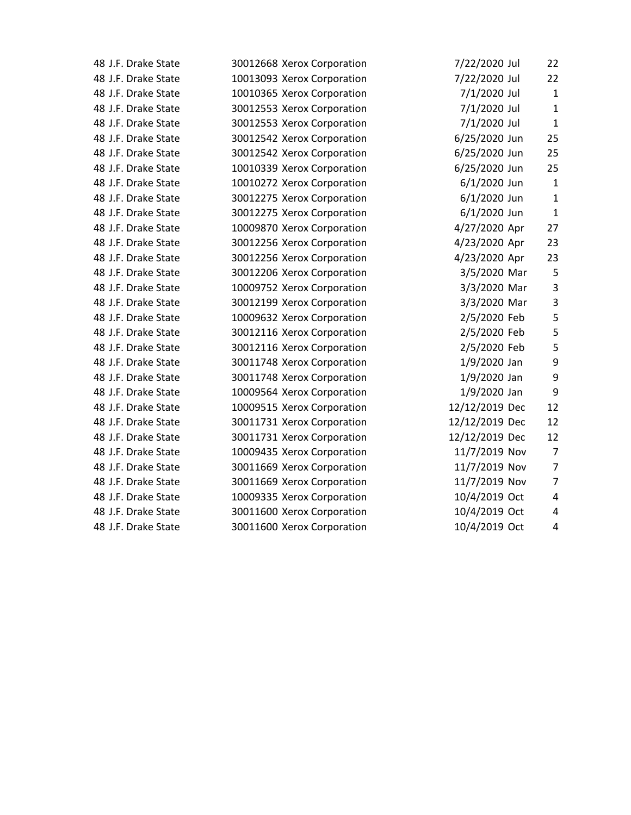| 48 J.F. Drake State | 30012668 Xerox Corporation | 7/22/2020 Jul  | 22                      |
|---------------------|----------------------------|----------------|-------------------------|
| 48 J.F. Drake State | 10013093 Xerox Corporation | 7/22/2020 Jul  | 22                      |
| 48 J.F. Drake State | 10010365 Xerox Corporation | 7/1/2020 Jul   | $\mathbf{1}$            |
| 48 J.F. Drake State | 30012553 Xerox Corporation | 7/1/2020 Jul   | $\mathbf{1}$            |
| 48 J.F. Drake State | 30012553 Xerox Corporation | 7/1/2020 Jul   | $\mathbf{1}$            |
| 48 J.F. Drake State | 30012542 Xerox Corporation | 6/25/2020 Jun  | 25                      |
| 48 J.F. Drake State | 30012542 Xerox Corporation | 6/25/2020 Jun  | 25                      |
| 48 J.F. Drake State | 10010339 Xerox Corporation | 6/25/2020 Jun  | 25                      |
| 48 J.F. Drake State | 10010272 Xerox Corporation | 6/1/2020 Jun   | $\mathbf 1$             |
| 48 J.F. Drake State | 30012275 Xerox Corporation | 6/1/2020 Jun   | $\mathbf{1}$            |
| 48 J.F. Drake State | 30012275 Xerox Corporation | 6/1/2020 Jun   | $\mathbf{1}$            |
| 48 J.F. Drake State | 10009870 Xerox Corporation | 4/27/2020 Apr  | 27                      |
| 48 J.F. Drake State | 30012256 Xerox Corporation | 4/23/2020 Apr  | 23                      |
| 48 J.F. Drake State | 30012256 Xerox Corporation | 4/23/2020 Apr  | 23                      |
| 48 J.F. Drake State | 30012206 Xerox Corporation | 3/5/2020 Mar   | 5                       |
| 48 J.F. Drake State | 10009752 Xerox Corporation | 3/3/2020 Mar   | 3                       |
| 48 J.F. Drake State | 30012199 Xerox Corporation | 3/3/2020 Mar   | $\mathsf 3$             |
| 48 J.F. Drake State | 10009632 Xerox Corporation | 2/5/2020 Feb   | 5                       |
| 48 J.F. Drake State | 30012116 Xerox Corporation | 2/5/2020 Feb   | 5                       |
| 48 J.F. Drake State | 30012116 Xerox Corporation | 2/5/2020 Feb   | 5                       |
| 48 J.F. Drake State | 30011748 Xerox Corporation | 1/9/2020 Jan   | 9                       |
| 48 J.F. Drake State | 30011748 Xerox Corporation | 1/9/2020 Jan   | 9                       |
| 48 J.F. Drake State | 10009564 Xerox Corporation | 1/9/2020 Jan   | 9                       |
| 48 J.F. Drake State | 10009515 Xerox Corporation | 12/12/2019 Dec | 12                      |
| 48 J.F. Drake State | 30011731 Xerox Corporation | 12/12/2019 Dec | 12                      |
| 48 J.F. Drake State | 30011731 Xerox Corporation | 12/12/2019 Dec | 12                      |
| 48 J.F. Drake State | 10009435 Xerox Corporation | 11/7/2019 Nov  | $\overline{7}$          |
| 48 J.F. Drake State | 30011669 Xerox Corporation | 11/7/2019 Nov  | $\overline{7}$          |
| 48 J.F. Drake State | 30011669 Xerox Corporation | 11/7/2019 Nov  | $\overline{7}$          |
| 48 J.F. Drake State | 10009335 Xerox Corporation | 10/4/2019 Oct  | $\overline{\mathbf{4}}$ |
| 48 J.F. Drake State | 30011600 Xerox Corporation | 10/4/2019 Oct  | 4                       |
| 48 J.F. Drake State | 30011600 Xerox Corporation | 10/4/2019 Oct  | 4                       |
|                     |                            |                |                         |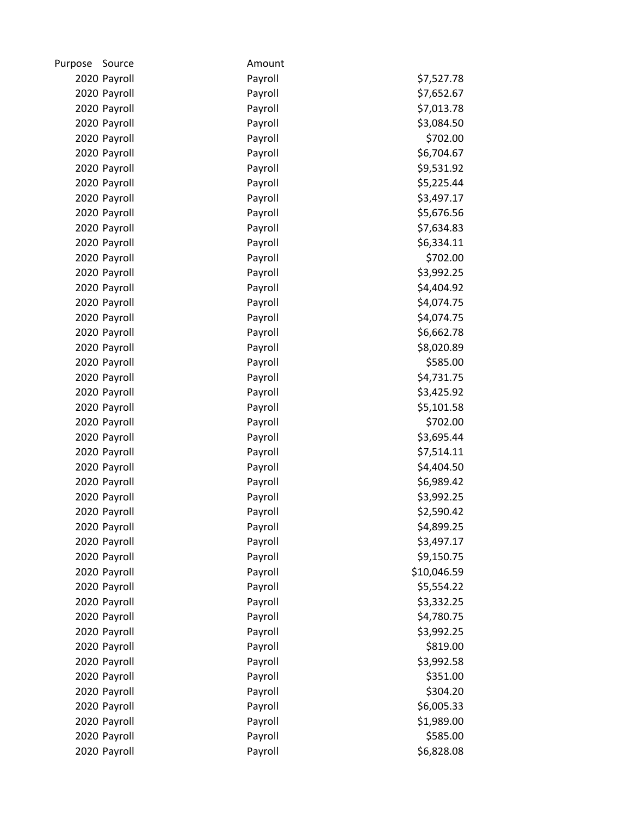| Purpose | Source       | Amount  |             |
|---------|--------------|---------|-------------|
|         | 2020 Payroll | Payroll | \$7,527.78  |
|         | 2020 Payroll | Payroll | \$7,652.67  |
|         | 2020 Payroll | Payroll | \$7,013.78  |
|         | 2020 Payroll | Payroll | \$3,084.50  |
|         | 2020 Payroll | Payroll | \$702.00    |
|         | 2020 Payroll | Payroll | \$6,704.67  |
|         | 2020 Payroll | Payroll | \$9,531.92  |
|         | 2020 Payroll | Payroll | \$5,225.44  |
|         | 2020 Payroll | Payroll | \$3,497.17  |
|         | 2020 Payroll | Payroll | \$5,676.56  |
|         | 2020 Payroll | Payroll | \$7,634.83  |
|         | 2020 Payroll | Payroll | \$6,334.11  |
|         | 2020 Payroll | Payroll | \$702.00    |
|         | 2020 Payroll | Payroll | \$3,992.25  |
|         | 2020 Payroll | Payroll | \$4,404.92  |
|         | 2020 Payroll | Payroll | \$4,074.75  |
|         | 2020 Payroll | Payroll | \$4,074.75  |
|         | 2020 Payroll | Payroll | \$6,662.78  |
|         | 2020 Payroll | Payroll | \$8,020.89  |
|         | 2020 Payroll | Payroll | \$585.00    |
|         | 2020 Payroll | Payroll | \$4,731.75  |
|         | 2020 Payroll | Payroll | \$3,425.92  |
|         | 2020 Payroll | Payroll | \$5,101.58  |
|         | 2020 Payroll | Payroll | \$702.00    |
|         | 2020 Payroll | Payroll | \$3,695.44  |
|         | 2020 Payroll | Payroll | \$7,514.11  |
|         | 2020 Payroll | Payroll | \$4,404.50  |
|         | 2020 Payroll | Payroll | \$6,989.42  |
|         | 2020 Payroll | Payroll | \$3,992.25  |
|         | 2020 Payroll | Payroll | \$2,590.42  |
|         | 2020 Payroll | Payroll | \$4,899.25  |
|         | 2020 Payroll | Payroll | \$3,497.17  |
|         | 2020 Payroll | Payroll | \$9,150.75  |
|         | 2020 Payroll | Payroll | \$10,046.59 |
|         | 2020 Payroll | Payroll | \$5,554.22  |
|         | 2020 Payroll | Payroll | \$3,332.25  |
|         | 2020 Payroll | Payroll | \$4,780.75  |
|         | 2020 Payroll | Payroll | \$3,992.25  |
|         | 2020 Payroll | Payroll | \$819.00    |
|         | 2020 Payroll | Payroll | \$3,992.58  |
|         | 2020 Payroll | Payroll | \$351.00    |
|         | 2020 Payroll | Payroll | \$304.20    |
|         | 2020 Payroll | Payroll | \$6,005.33  |
|         | 2020 Payroll | Payroll | \$1,989.00  |
|         | 2020 Payroll | Payroll | \$585.00    |
|         | 2020 Payroll | Payroll | \$6,828.08  |
|         |              |         |             |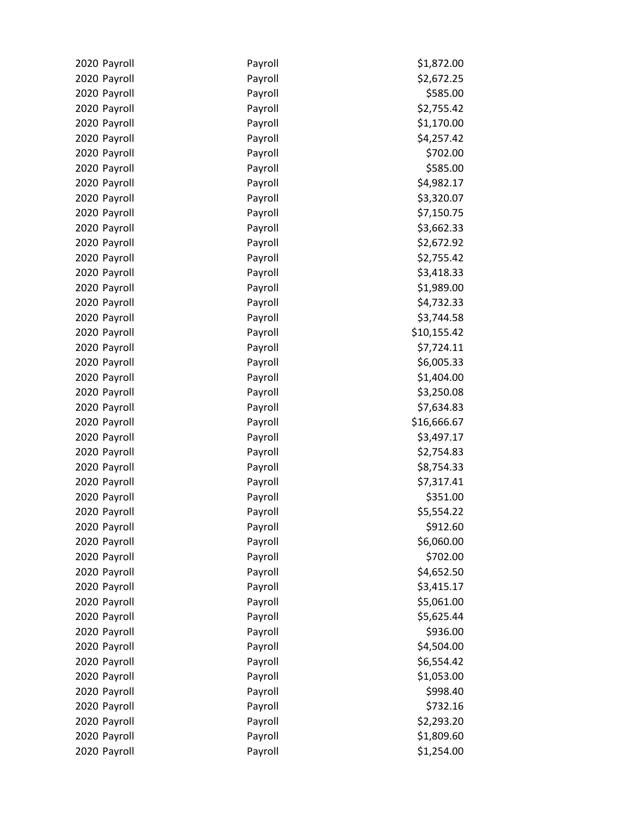| 2020 Payroll | Payroll | \$1,872.00  |
|--------------|---------|-------------|
| 2020 Payroll | Payroll | \$2,672.25  |
| 2020 Payroll | Payroll | \$585.00    |
| 2020 Payroll | Payroll | \$2,755.42  |
| 2020 Payroll | Payroll | \$1,170.00  |
|              |         |             |
| 2020 Payroll | Payroll | \$4,257.42  |
| 2020 Payroll | Payroll | \$702.00    |
| 2020 Payroll | Payroll | \$585.00    |
| 2020 Payroll | Payroll | \$4,982.17  |
| 2020 Payroll | Payroll | \$3,320.07  |
| 2020 Payroll | Payroll | \$7,150.75  |
| 2020 Payroll | Payroll | \$3,662.33  |
| 2020 Payroll | Payroll | \$2,672.92  |
| 2020 Payroll | Payroll | \$2,755.42  |
| 2020 Payroll | Payroll | \$3,418.33  |
| 2020 Payroll | Payroll | \$1,989.00  |
| 2020 Payroll | Payroll | \$4,732.33  |
| 2020 Payroll | Payroll | \$3,744.58  |
| 2020 Payroll | Payroll | \$10,155.42 |
| 2020 Payroll | Payroll | \$7,724.11  |
| 2020 Payroll | Payroll | \$6,005.33  |
| 2020 Payroll | Payroll | \$1,404.00  |
| 2020 Payroll | Payroll | \$3,250.08  |
| 2020 Payroll | Payroll | \$7,634.83  |
| 2020 Payroll | Payroll | \$16,666.67 |
|              |         |             |
| 2020 Payroll | Payroll | \$3,497.17  |
| 2020 Payroll | Payroll | \$2,754.83  |
| 2020 Payroll | Payroll | \$8,754.33  |
| 2020 Payroll | Payroll | \$7,317.41  |
| 2020 Payroll | Payroll | \$351.00    |
| 2020 Payroll | Payroll | \$5,554.22  |
| 2020 Payroll | Payroll | \$912.60    |
| 2020 Payroll | Payroll | \$6,060.00  |
| 2020 Payroll | Payroll | \$702.00    |
| 2020 Payroll | Payroll | \$4,652.50  |
| 2020 Payroll | Payroll | \$3,415.17  |
| 2020 Payroll | Payroll | \$5,061.00  |
| 2020 Payroll | Payroll | \$5,625.44  |
| 2020 Payroll | Payroll | \$936.00    |
| 2020 Payroll | Payroll | \$4,504.00  |
| 2020 Payroll | Payroll | \$6,554.42  |
| 2020 Payroll | Payroll | \$1,053.00  |
| 2020 Payroll | Payroll | \$998.40    |
| 2020 Payroll | Payroll | \$732.16    |
| 2020 Payroll | Payroll | \$2,293.20  |
| 2020 Payroll | Payroll | \$1,809.60  |
| 2020 Payroll | Payroll | \$1,254.00  |
|              |         |             |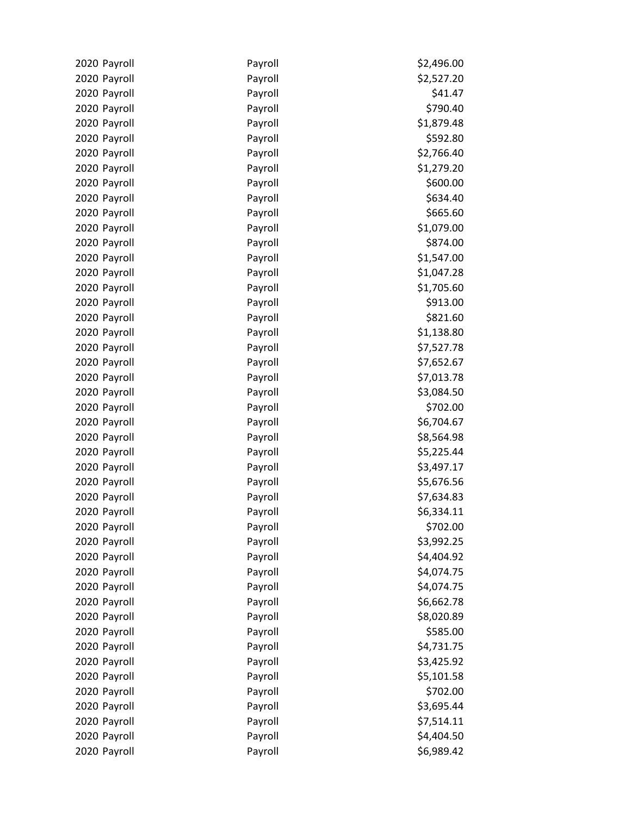| 2020 Payroll | Payroll | \$2,496.00 |
|--------------|---------|------------|
| 2020 Payroll | Payroll | \$2,527.20 |
| 2020 Payroll | Payroll | \$41.47    |
| 2020 Payroll | Payroll | \$790.40   |
| 2020 Payroll | Payroll | \$1,879.48 |
| 2020 Payroll | Payroll | \$592.80   |
| 2020 Payroll | Payroll | \$2,766.40 |
| 2020 Payroll | Payroll | \$1,279.20 |
| 2020 Payroll | Payroll | \$600.00   |
| 2020 Payroll | Payroll | \$634.40   |
| 2020 Payroll | Payroll | \$665.60   |
| 2020 Payroll | Payroll | \$1,079.00 |
| 2020 Payroll | Payroll | \$874.00   |
| 2020 Payroll | Payroll | \$1,547.00 |
| 2020 Payroll | Payroll | \$1,047.28 |
| 2020 Payroll | Payroll | \$1,705.60 |
| 2020 Payroll | Payroll | \$913.00   |
| 2020 Payroll | Payroll | \$821.60   |
| 2020 Payroll | Payroll | \$1,138.80 |
| 2020 Payroll | Payroll | \$7,527.78 |
| 2020 Payroll | Payroll | \$7,652.67 |
| 2020 Payroll | Payroll | \$7,013.78 |
| 2020 Payroll | Payroll | \$3,084.50 |
| 2020 Payroll | Payroll | \$702.00   |
| 2020 Payroll | Payroll | \$6,704.67 |
| 2020 Payroll | Payroll | \$8,564.98 |
| 2020 Payroll | Payroll | \$5,225.44 |
| 2020 Payroll | Payroll | \$3,497.17 |
| 2020 Payroll | Payroll | \$5,676.56 |
| 2020 Payroll | Payroll | \$7,634.83 |
| 2020 Payroll | Payroll | \$6,334.11 |
| 2020 Payroll | Payroll | \$702.00   |
| 2020 Payroll | Payroll | \$3,992.25 |
| 2020 Payroll | Payroll | \$4,404.92 |
| 2020 Payroll | Payroll | \$4,074.75 |
| 2020 Payroll | Payroll | \$4,074.75 |
| 2020 Payroll | Payroll | \$6,662.78 |
| 2020 Payroll | Payroll | \$8,020.89 |
| 2020 Payroll | Payroll | \$585.00   |
| 2020 Payroll | Payroll | \$4,731.75 |
| 2020 Payroll | Payroll | \$3,425.92 |
| 2020 Payroll | Payroll | \$5,101.58 |
| 2020 Payroll | Payroll | \$702.00   |
| 2020 Payroll | Payroll | \$3,695.44 |
| 2020 Payroll | Payroll | \$7,514.11 |
| 2020 Payroll | Payroll | \$4,404.50 |
| 2020 Payroll | Payroll | \$6,989.42 |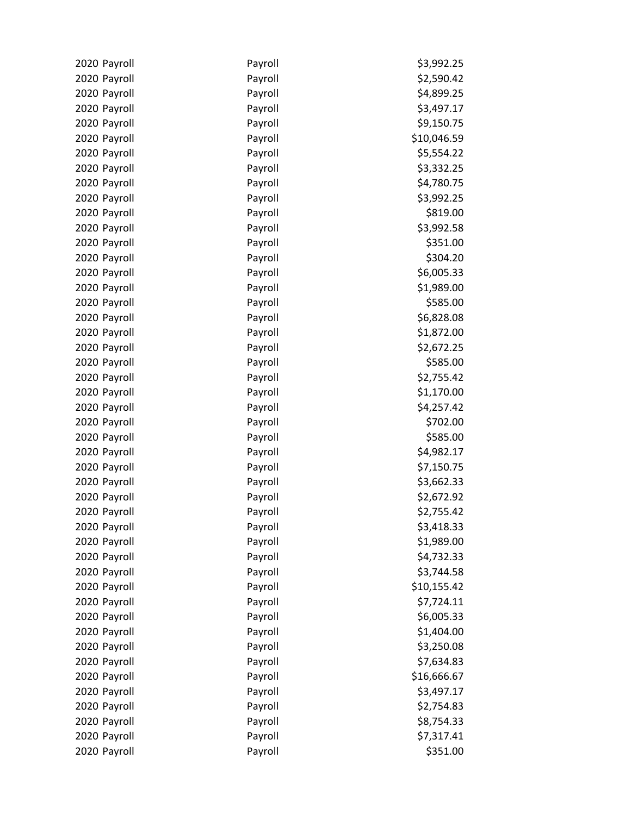| 2020 Payroll                 | Payroll            | \$3,992.25               |
|------------------------------|--------------------|--------------------------|
| 2020 Payroll                 | Payroll            | \$2,590.42               |
| 2020 Payroll                 | Payroll            | \$4,899.25               |
| 2020 Payroll                 | Payroll            | \$3,497.17               |
| 2020 Payroll                 | Payroll            | \$9,150.75               |
| 2020 Payroll                 | Payroll            | \$10,046.59              |
| 2020 Payroll                 | Payroll            | \$5,554.22               |
| 2020 Payroll                 | Payroll            | \$3,332.25               |
| 2020 Payroll                 | Payroll            | \$4,780.75               |
| 2020 Payroll                 | Payroll            | \$3,992.25               |
| 2020 Payroll                 | Payroll            | \$819.00                 |
| 2020 Payroll                 | Payroll            | \$3,992.58               |
| 2020 Payroll                 | Payroll            | \$351.00                 |
| 2020 Payroll                 | Payroll            | \$304.20                 |
| 2020 Payroll                 | Payroll            | \$6,005.33               |
| 2020 Payroll                 | Payroll            | \$1,989.00               |
| 2020 Payroll                 | Payroll            | \$585.00                 |
| 2020 Payroll                 | Payroll            | \$6,828.08               |
| 2020 Payroll                 | Payroll            | \$1,872.00               |
| 2020 Payroll                 | Payroll            | \$2,672.25               |
| 2020 Payroll                 | Payroll            | \$585.00                 |
| 2020 Payroll                 | Payroll            | \$2,755.42               |
| 2020 Payroll                 | Payroll            | \$1,170.00               |
| 2020 Payroll                 | Payroll            | \$4,257.42               |
| 2020 Payroll                 | Payroll            | \$702.00                 |
| 2020 Payroll                 | Payroll            | \$585.00                 |
| 2020 Payroll                 | Payroll            | \$4,982.17               |
| 2020 Payroll                 | Payroll            | \$7,150.75               |
| 2020 Payroll                 | Payroll            | \$3,662.33               |
| 2020 Payroll                 | Payroll            | \$2,672.92               |
| 2020 Payroll                 | Payroll            | \$2,755.42               |
| 2020 Payroll                 | Payroll            | \$3,418.33               |
| 2020 Payroll                 | Payroll            | \$1,989.00               |
| 2020 Payroll                 | Payroll            | \$4,732.33               |
| 2020 Payroll                 | Payroll            | \$3,744.58               |
| 2020 Payroll                 | Payroll            | \$10,155.42              |
| 2020 Payroll                 | Payroll            | \$7,724.11               |
| 2020 Payroll                 | Payroll            | \$6,005.33               |
| 2020 Payroll                 | Payroll            | \$1,404.00               |
| 2020 Payroll                 | Payroll            | \$3,250.08               |
| 2020 Payroll                 | Payroll            | \$7,634.83               |
| 2020 Payroll                 | Payroll            | \$16,666.67              |
| 2020 Payroll                 | Payroll<br>Payroll | \$3,497.17<br>\$2,754.83 |
| 2020 Payroll<br>2020 Payroll | Payroll            | \$8,754.33               |
| 2020 Payroll                 | Payroll            | \$7,317.41               |
|                              | Payroll            | \$351.00                 |
| 2020 Payroll                 |                    |                          |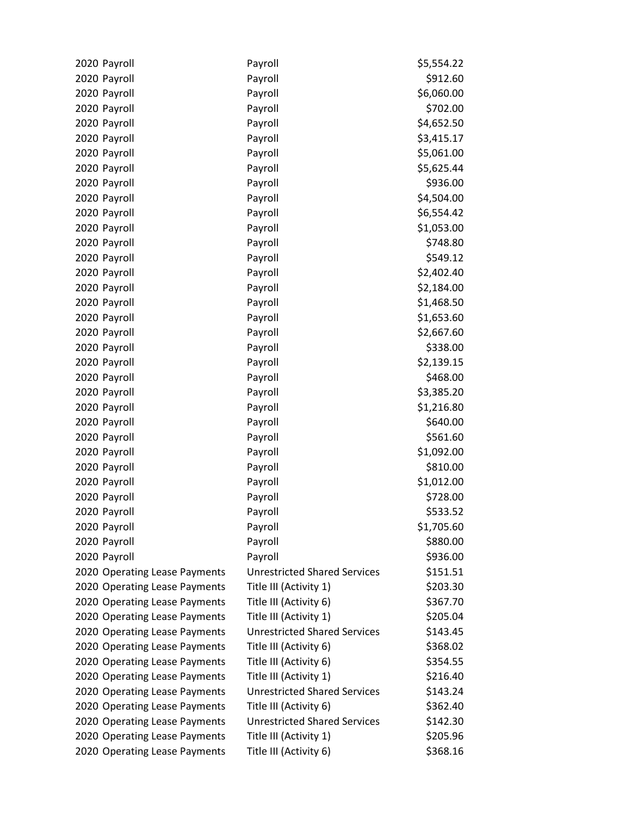| 2020 Payroll                  | Payroll                             | \$5,554.22 |
|-------------------------------|-------------------------------------|------------|
| 2020 Payroll                  | Payroll                             | \$912.60   |
| 2020 Payroll                  | Payroll                             | \$6,060.00 |
| 2020 Payroll                  | Payroll                             | \$702.00   |
| 2020 Payroll                  | Payroll                             | \$4,652.50 |
| 2020 Payroll                  | Payroll                             | \$3,415.17 |
| 2020 Payroll                  | Payroll                             | \$5,061.00 |
| 2020 Payroll                  | Payroll                             | \$5,625.44 |
| 2020 Payroll                  | Payroll                             | \$936.00   |
| 2020 Payroll                  | Payroll                             | \$4,504.00 |
| 2020 Payroll                  | Payroll                             | \$6,554.42 |
| 2020 Payroll                  | Payroll                             | \$1,053.00 |
| 2020 Payroll                  | Payroll                             | \$748.80   |
| 2020 Payroll                  | Payroll                             | \$549.12   |
| 2020 Payroll                  | Payroll                             | \$2,402.40 |
| 2020 Payroll                  | Payroll                             | \$2,184.00 |
| 2020 Payroll                  | Payroll                             | \$1,468.50 |
| 2020 Payroll                  | Payroll                             | \$1,653.60 |
| 2020 Payroll                  | Payroll                             | \$2,667.60 |
| 2020 Payroll                  | Payroll                             | \$338.00   |
| 2020 Payroll                  | Payroll                             | \$2,139.15 |
| 2020 Payroll                  | Payroll                             | \$468.00   |
| 2020 Payroll                  | Payroll                             | \$3,385.20 |
| 2020 Payroll                  | Payroll                             | \$1,216.80 |
| 2020 Payroll                  | Payroll                             | \$640.00   |
| 2020 Payroll                  | Payroll                             | \$561.60   |
| 2020 Payroll                  | Payroll                             | \$1,092.00 |
| 2020 Payroll                  | Payroll                             | \$810.00   |
| 2020 Payroll                  | Payroll                             | \$1,012.00 |
| 2020 Payroll                  | Payroll                             | \$728.00   |
| 2020 Payroll                  | Payroll                             | \$533.52   |
| 2020 Payroll                  | Payroll                             | \$1,705.60 |
| 2020 Payroll                  | Payroll                             | \$880.00   |
| 2020 Payroll                  | Payroll                             | \$936.00   |
| 2020 Operating Lease Payments | <b>Unrestricted Shared Services</b> | \$151.51   |
| 2020 Operating Lease Payments | Title III (Activity 1)              | \$203.30   |
| 2020 Operating Lease Payments | Title III (Activity 6)              | \$367.70   |
| 2020 Operating Lease Payments | Title III (Activity 1)              | \$205.04   |
| 2020 Operating Lease Payments | <b>Unrestricted Shared Services</b> | \$143.45   |
| 2020 Operating Lease Payments | Title III (Activity 6)              | \$368.02   |
| 2020 Operating Lease Payments | Title III (Activity 6)              | \$354.55   |
| 2020 Operating Lease Payments | Title III (Activity 1)              | \$216.40   |
| 2020 Operating Lease Payments | <b>Unrestricted Shared Services</b> | \$143.24   |
| 2020 Operating Lease Payments | Title III (Activity 6)              | \$362.40   |
| 2020 Operating Lease Payments | <b>Unrestricted Shared Services</b> | \$142.30   |
| 2020 Operating Lease Payments | Title III (Activity 1)              | \$205.96   |
| 2020 Operating Lease Payments | Title III (Activity 6)              | \$368.16   |